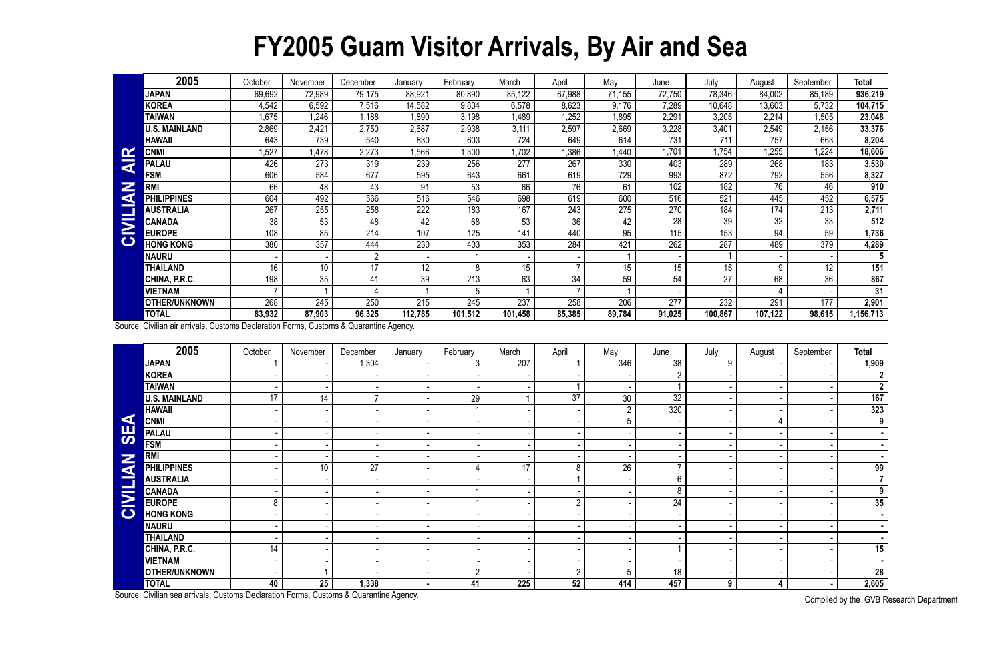## **FY2005 Guam Visitor Arrivals, By Air and Sea**

|                              | 2005                 | October                  | November | December       | January | February         | March            | April  | May    | June   | July    | August  | September       | <b>Total</b> |
|------------------------------|----------------------|--------------------------|----------|----------------|---------|------------------|------------------|--------|--------|--------|---------|---------|-----------------|--------------|
|                              | <b>JAPAN</b>         | 69,692                   | 72,989   | 79,175         | 88,921  | 80,890           | 85,122           | 67,988 | 71,155 | 72,750 | 78,346  | 84,002  | 85,189          | 936,219      |
|                              | <b>KOREA</b>         | 4,542                    | 6,592    | 7,516          | 14,582  | 9,834            | 6,578            | 8,623  | 9,176  | 7,289  | 10,648  | 13,603  | 5,732           | 104,715      |
|                              | <b>TAIWAN</b>        | 1,675                    | 1,246    | .188           | 1,890   | 3,198            | 1,489            | ,252   | 1,895  | 2,291  | 3,205   | 2,214   | 1,505           | 23,048       |
|                              | <b>U.S. MAINLAND</b> | 2,869                    | 2,421    | 2,750          | 2,687   | 2,938            | 3,111            | 2,597  | 2,669  | 3,228  | 3,401   | 2,549   | 2,156           | 33,376       |
|                              | HAWAII               | 643                      | 739      | 540            | 830     | 603              | 724              | 649    | 614    | 731    | 711     | 757     | 663             | 8,204        |
| $\mathbf{\alpha}$            | <b>CNM</b>           | ,527                     | 1,478    | 2,273          | 1,566   | ,300             | 1,702            | ,386   | .440   | 1,701  | 1,754   | 1,255   | .224            | 18,606       |
| $\overline{\textbf{z}}$      | <b>PALAU</b>         | 426                      | 273      | 319            | 239     | 256              | 277              | 267    | 330    | 403    | 289     | 268     | 183             | 3,530        |
|                              | <b>FSM</b>           | 606                      | 584      | 677            | 595     | 643              | 661              | 619    | 729    | 993    | 872     | 792     | 556             | 8,327        |
| Z                            | <b>RM</b>            | 66                       | 48       | 43             | 91      | 53               | 66               | 76     | 61     | 102    | 182     | 76      | 46              | 910          |
| a                            | <b>LIPPINES</b>      | 604                      | 492      | 566            | 516     | 546              | 698              | 619    | 600    | 516    | 521     | 445     | 452             | 6,575        |
|                              | <b>AUSTRALIA</b>     | 267                      | 255      | 258            | 222     | 183              | 167              | 243    | 275    | 270    | 184     | 174     | 213             | 2,711        |
| $\overline{\mathbf{\Sigma}}$ | CANADA               | 38                       | 53       | 48             | 42      | 68               | 53               | 36     | 42     | 28     | 39      | 32      | 33              | 512          |
|                              | <b>EUROPE</b>        | 108                      | 85       | 214            | 107     | $12\overline{5}$ | 141              | 440    | 95     | 115    | 153     | 94      | 59              | 1,736        |
| $\mathbf C$                  | <b>HONG KONG</b>     | 380                      | 357      | 444            | 230     | 403              | 353              | 284    | 421    | 262    | 287     | 489     | 379             | 4,289        |
|                              | NAURU                |                          |          | $\overline{2}$ |         |                  |                  |        |        |        |         |         |                 | 5            |
|                              | <b>THAILAND</b>      | 16                       | 10       | 17             | 12      | 8                | 15 <sup>15</sup> |        | 15     | 15     | 15      | 9       | 12 <sup>°</sup> | 151          |
|                              | CHINA, P.R.C.        | 198                      | 35       | 41             | 39      | 213              | 63               | 34     | 59     | 54     | 27      | 68      | 36              | 867          |
|                              | VIETNAM              | $\overline{\phantom{a}}$ |          |                |         | 5                |                  |        |        |        |         |         |                 | 31           |
|                              | OTHER/UNKNOWN        | 268                      | 245      | 250            | 215     | 245              | 237              | 258    | 206    | 277    | 232     | 291     | 177             | 2,901        |
|                              | <b>TOTAL</b>         | 83,932                   | 87,903   | 96,325         | 112,785 | 101,512          | 101,458          | 85,385 | 89,784 | 91,025 | 100,867 | 107,122 | 98,615          | 156,713      |

|                 | <b>CNMI</b>                                                                            | 1,527           | 1,478           | 2,273          | 1,566   | 1,300           | 1,702   | 1,386           | 1,440            | 1,701           | 1,754   | 1,255   | 1,224            | 18,606                |
|-----------------|----------------------------------------------------------------------------------------|-----------------|-----------------|----------------|---------|-----------------|---------|-----------------|------------------|-----------------|---------|---------|------------------|-----------------------|
| <b>AIR</b>      | <b>PALAU</b>                                                                           | 426             | 273             | 319            | 239     | 256             | 277     | 267             | 330              | 403             | 289     | 268     | 183              | 3,530                 |
|                 | <b>FSM</b>                                                                             | 606             | 584             | 677            | 595     | 643             | 661     | 619             | 729              | 993             | 872     | 792     | 556              | 8,327                 |
|                 | <b>RMI</b>                                                                             | 66              | 48              | 43             | 91      | 53              | 66      | $\overline{76}$ | 61               | 102             | 182     | 76      | 46               | 910                   |
|                 | <b>PHILIPPINES</b>                                                                     | 604             | 492             | 566            | 516     | 546             | 698     | 619             | 600              | 516             | 521     | 445     | 452              | 6,575                 |
|                 | <b>AUSTRALIA</b>                                                                       | 267             | 255             | 258            | 222     | 183             | 167     | 243             | $\overline{275}$ | 270             | 184     | 174     | $\overline{213}$ | 2,711                 |
|                 | <b>CANADA</b>                                                                          | $\overline{38}$ | 53              | 48             | 42      | 68              | 53      | 36              | 42               | $\overline{28}$ | 39      | 32      | 33               | 512                   |
| CIVILIAN        | <b>EUROPE</b>                                                                          | 108             | 85              | 214            | 107     | 125             | 141     | 440             | 95               | 115             | 153     | 94      | 59               | 1,736                 |
|                 | <b>HONG KONG</b>                                                                       | 380             | 357             | 444            | 230     | 403             | 353     | 284             | 421              | 262             | 287     | 489     | 379              | 4,289                 |
|                 | <b>NAURU</b>                                                                           |                 |                 | $\overline{2}$ |         |                 |         |                 |                  |                 |         |         |                  | $5\phantom{.0}$       |
|                 | <b>THAILAND</b>                                                                        | 16              | 10 <sup>°</sup> | 17             | 12      | 8               | 15      | $\overline{7}$  | 15               | 15              | 15      | 9       | $\overline{12}$  | 151                   |
|                 | CHINA, P.R.C.                                                                          | 198             | 35              | 41             | 39      | 213             | 63      | 34              | 59               | 54              | 27      | 68      | $\overline{36}$  | 867                   |
|                 | <b>VIETNAM</b>                                                                         |                 | $\overline{1}$  | 4              |         | 5               |         | $\overline{7}$  |                  |                 |         |         |                  | 31                    |
|                 | <b>OTHER/UNKNOWN</b>                                                                   | 268             | 245             | 250            | 215     | 245             | 237     | 258             | 206              | 277             | 232     | 291     | 177              | 2,901                 |
|                 | <b>TOTAL</b>                                                                           | 83,932          | 87,903          | 96,325         | 112,785 | 101,512         | 101,458 | 85,385          | 89,784           | 91,025          | 100,867 | 107,122 | 98,615           | 1,156,713             |
|                 | Source: Civilian air arrivals, Customs Declaration Forms, Customs & Quarantine Agency. |                 |                 |                |         |                 |         |                 |                  |                 |         |         |                  |                       |
|                 | 2005                                                                                   | October         | November        | December       | January | February        | March   | April           | May              | June            | July    | August  | September        | <b>Total</b>          |
|                 | <b>JAPAN</b>                                                                           |                 |                 | 1,304          |         | 3 <sup>1</sup>  | 207     |                 | 346              | 38              | $9\,$   |         |                  | 1,909                 |
|                 | <b>KOREA</b>                                                                           |                 |                 |                |         |                 |         |                 |                  | $\overline{2}$  |         |         |                  | $\mathbf{2}$          |
|                 | <b>TAIWAN</b>                                                                          |                 |                 |                |         |                 |         |                 |                  |                 |         |         |                  | $\overline{2}$        |
|                 | <b>U.S. MAINLAND</b>                                                                   | 17              | $\overline{14}$ |                |         | $\overline{29}$ |         | 37              | 30 <sub>o</sub>  | $\overline{32}$ |         |         |                  | 167                   |
|                 | <b>HAWAII</b>                                                                          |                 |                 |                |         |                 |         |                 | $\overline{2}$   | 320             |         |         |                  | 323                   |
|                 | <b>CNMI</b>                                                                            |                 |                 |                |         |                 |         |                 | 5                |                 |         | 4       |                  | $\overline{9}$        |
| SEA             | <b>PALAU</b>                                                                           |                 |                 |                |         |                 |         |                 |                  |                 |         |         |                  | $\blacksquare$        |
|                 | <b>FSM</b>                                                                             |                 |                 |                |         |                 |         |                 |                  |                 |         |         |                  | $\blacksquare$        |
|                 | <b>RMI</b>                                                                             |                 |                 |                |         |                 |         |                 |                  |                 |         |         |                  | $\blacksquare$        |
|                 | <b>PHILIPPINES</b>                                                                     |                 | 10 <sup>°</sup> | 27             |         |                 | 17      | 8               | 26               | $\overline{7}$  |         |         |                  | 99                    |
| <b>CIVILIAN</b> | <b>AUSTRALIA</b>                                                                       |                 |                 |                |         |                 |         |                 |                  | 6               |         |         |                  | $\overline{7}$        |
|                 | <b>CANADA</b>                                                                          |                 |                 |                |         |                 |         |                 |                  | 8               |         |         |                  | 9                     |
|                 | <b>EUROPE</b>                                                                          | 8               |                 |                |         |                 |         | $\overline{2}$  |                  | 24              |         |         |                  | $\overline{35}$       |
|                 | <b>HONG KONG</b>                                                                       |                 |                 |                |         |                 |         |                 |                  |                 |         |         |                  |                       |
|                 | <b>NAURU</b>                                                                           |                 |                 |                |         |                 |         |                 |                  |                 |         |         |                  |                       |
|                 | <b>THAILAND</b>                                                                        |                 |                 |                |         |                 |         |                 |                  |                 |         |         |                  | $\sim$                |
|                 | CHINA, P.R.C.                                                                          | 14              |                 |                |         |                 |         |                 |                  |                 |         |         |                  | 15                    |
|                 | <b>VIETNAM</b>                                                                         |                 |                 |                |         |                 |         |                 |                  |                 |         |         |                  |                       |
|                 | <b>OTHER/UNKNOWN</b>                                                                   |                 |                 |                |         | 2               |         | $\overline{2}$  | 5                | 18              |         |         |                  | 28                    |
|                 | <b>TOTAL</b>                                                                           | 40              | 25              | 1,338          |         | 41              | 225     | 52              | 414              | 457             | 9       | 4       |                  | 2,605                 |
|                 | Source: Civilian sea arrivals, Customs Declaration Forms, Customs & Quarantine Agency. |                 |                 |                |         |                 |         |                 |                  |                 |         |         |                  | Compiled by the CVD D |

Compiled by the GVB Research Department